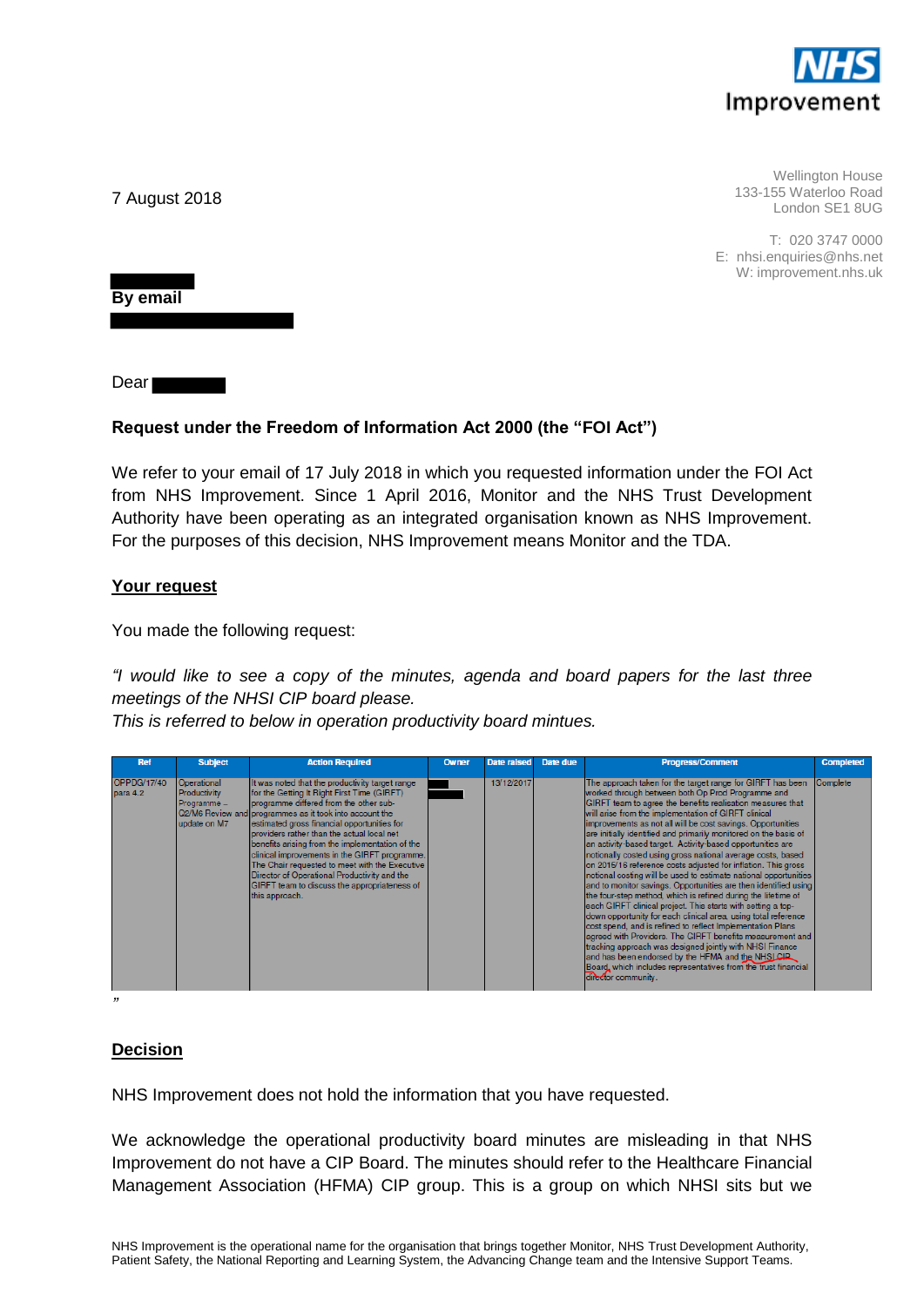

Wellington House 133-155 Waterloo Road London SE1 8UG

T: 020 3747 0000 E: nhsi.enquiries@nhs.net W: improvement.nhs.uk

7 August 2018

**By email**

Dear<sup>1</sup>

## **Request under the Freedom of Information Act 2000 (the "FOI Act")**

We refer to your email of 17 July 2018 in which you requested information under the FOI Act from NHS Improvement. Since 1 April 2016, Monitor and the NHS Trust Development Authority have been operating as an integrated organisation known as NHS Improvement. For the purposes of this decision, NHS Improvement means Monitor and the TDA.

## **Your request**

You made the following request:

*"I would like to see a copy of the minutes, agenda and board papers for the last three meetings of the NHSI CIP board please.*

*This is referred to below in operation productivity board mintues.*

| <b>Ref</b>              | <b>Subject</b>                                             | <b>Action Required</b>                                                                                                                                                                                                                                                                                                                                                                                                                                                                                                                                                    | <b>Owner</b> | <b>Date raised</b> | Date due | <b>Progress/Comment</b>                                                                                                                                                                                                                                                                                                                                                                                                                                                                                                                                                                                                                                                                                                                                                                                                                                                                                                                                                                                                                                                                                                                                                                                                                               | <b>Completed</b> |
|-------------------------|------------------------------------------------------------|---------------------------------------------------------------------------------------------------------------------------------------------------------------------------------------------------------------------------------------------------------------------------------------------------------------------------------------------------------------------------------------------------------------------------------------------------------------------------------------------------------------------------------------------------------------------------|--------------|--------------------|----------|-------------------------------------------------------------------------------------------------------------------------------------------------------------------------------------------------------------------------------------------------------------------------------------------------------------------------------------------------------------------------------------------------------------------------------------------------------------------------------------------------------------------------------------------------------------------------------------------------------------------------------------------------------------------------------------------------------------------------------------------------------------------------------------------------------------------------------------------------------------------------------------------------------------------------------------------------------------------------------------------------------------------------------------------------------------------------------------------------------------------------------------------------------------------------------------------------------------------------------------------------------|------------------|
| OPPDG/17/40<br>para 4.2 | Operational<br>Productivity<br>Programme -<br>update on M7 | It was noted that the productivity target range<br>for the Getting It Right First Time (GIRFT)<br>programme differed from the other sub-<br>Q2/M6 Review and programmes as it took into account the<br>estimated gross financial opportunities for<br>Iproviders rather than the actual local net<br>benefits arising from the implementation of the<br>clinical improvements in the GIRFT programme.<br>The Chair requested to meet with the Executive<br>Director of Operational Productivity and the<br>GIRFT team to discuss the appropriateness of<br>this approach. |              | 13/12/2017         |          | The approach taken for the target range for GIRFT has been<br>worked through between both Op Prod Programme and<br>GIRFT team to agree the benefits realisation measures that<br>will arise from the implementation of GIRFT clinical<br>improvements as not all will be cost savings. Opportunities<br>are initially identified and primarily monitored on the basis of<br>an activity-based target. Activity-based opportunities are<br>notionally costed using gross national average costs, based<br>on 2015/16 reference costs adjusted for inflation. This gross<br>notional costing will be used to estimate national opportunities<br>and to monitor savings. Opportunities are then identified using<br>the four-step method, which is refined during the lifetime of<br>each GIRFT clinical project. This starts with setting a top-<br>down opportunity for each clinical area, using total reference<br>cost spend, and is refined to reflect Implementation Plans<br>agreed with Providers. The GIRFT benefits measurement and<br>tracking approach was designed jointly with NHSI Finance<br>and has been endorsed by the HFMA and the NHSLCIP<br>Board, which includes representatives from the trust financial<br>director community. | Complete         |
| 77                      |                                                            |                                                                                                                                                                                                                                                                                                                                                                                                                                                                                                                                                                           |              |                    |          |                                                                                                                                                                                                                                                                                                                                                                                                                                                                                                                                                                                                                                                                                                                                                                                                                                                                                                                                                                                                                                                                                                                                                                                                                                                       |                  |

**Decision**

NHS Improvement does not hold the information that you have requested.

We acknowledge the operational productivity board minutes are misleading in that NHS Improvement do not have a CIP Board. The minutes should refer to the Healthcare Financial Management Association (HFMA) CIP group. This is a group on which NHSI sits but we